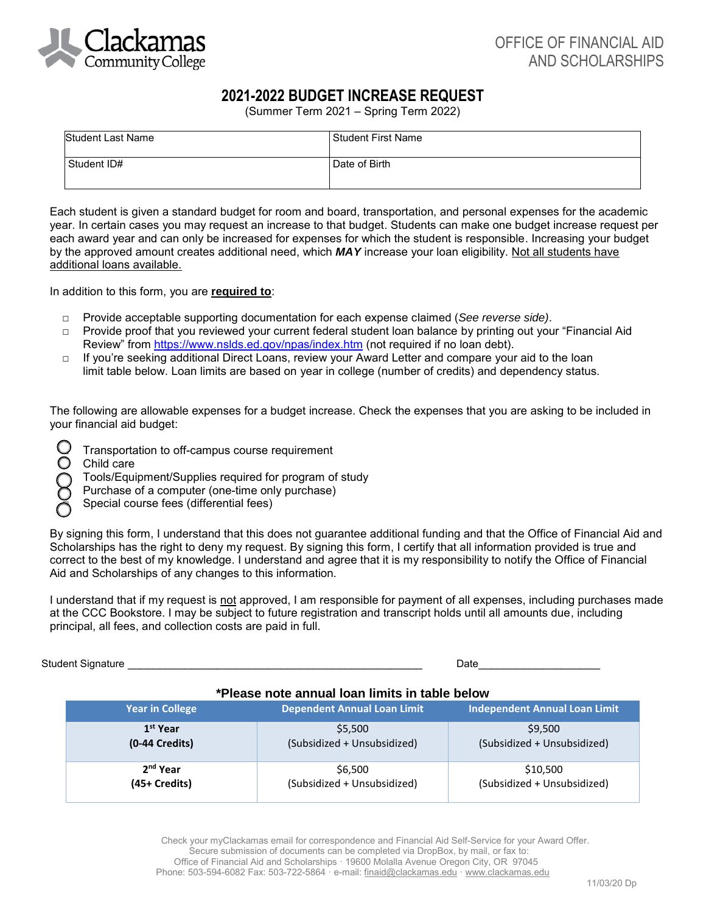

## **2021-2022 BUDGET INCREASE REQUEST**

(Summer Term 2021 – Spring Term 2022)

| <b>Student Last Name</b> | Student First Name |
|--------------------------|--------------------|
| Student ID#              | Date of Birth      |

Each student is given a standard budget for room and board, transportation, and personal expenses for the academic year. In certain cases you may request an increase to that budget. Students can make one budget increase request per each award year and can only be increased for expenses for which the student is responsible. Increasing your budget by the approved amount creates additional need, which *MAY* increase your loan eligibility. Not all students have additional loans available.

In addition to this form, you are **required to**:

- □ Provide acceptable supporting documentation for each expense claimed (*See reverse side)*.
- □ Provide proof that you reviewed your current federal student loan balance by printing out your "Financial Aid Review" from<https://www.nslds.ed.gov/npas/index.htm>(not required if no loan debt).
- □ If you're seeking additional Direct Loans, review your Award Letter and compare your aid to the loan limit table below. Loan limits are based on year in college (number of credits) and dependency status.

The following are allowable expenses for a budget increase. Check the expenses that you are asking to be included in your financial aid budget:

- Transportation to off-campus course requirement
- Child care
	- Tools/Equipment/Supplies required for program of study
- Purchase of a computer (one-time only purchase)
- Special course fees (differential fees)

By signing this form, I understand that this does not guarantee additional funding and that the Office of Financial Aid and Scholarships has the right to deny my request. By signing this form, I certify that all information provided is true and correct to the best of my knowledge. I understand and agree that it is my responsibility to notify the Office of Financial Aid and Scholarships of any changes to this information.

I understand that if my request is not approved, I am responsible for payment of all expenses, including purchases made at the CCC Bookstore. I may be subject to future registration and transcript holds until all amounts due, including principal, all fees, and collection costs are paid in full.

Student Signature \_\_\_\_\_\_\_\_\_\_\_\_\_\_\_\_\_\_\_\_\_\_\_\_\_\_\_\_\_\_\_\_\_\_\_\_\_\_\_\_\_\_\_\_\_\_ Date\_\_\_\_\_\_\_\_\_\_\_\_\_\_\_\_\_\_\_

## **\*Please note annual loan limits in table below**

| Year in College      | <b>Dependent Annual Loan Limit</b> | <b>Independent Annual Loan Limit</b> |
|----------------------|------------------------------------|--------------------------------------|
| 1 <sup>st</sup> Year | \$5,500                            | \$9,500                              |
| $(0-44$ Credits)     | (Subsidized + Unsubsidized)        | (Subsidized + Unsubsidized)          |
| 2 <sup>nd</sup> Year | \$6,500                            | \$10,500                             |
| (45+ Credits)        | (Subsidized + Unsubsidized)        | (Subsidized + Unsubsidized)          |

Check your myClackamas email for correspondence and Financial Aid Self-Service for your Award Offer. Secure submission of documents can be completed via DropBox, by mail, or fax to: Office of Financial Aid and Scholarships · 19600 Molalla Avenue Oregon City, OR 97045 Phone: 503-594-6082 Fax: 503-722-5864 · e-mail: [finaid@clackamas.edu](mailto:finaid@clackamas.edu) · www.clackamas.edu